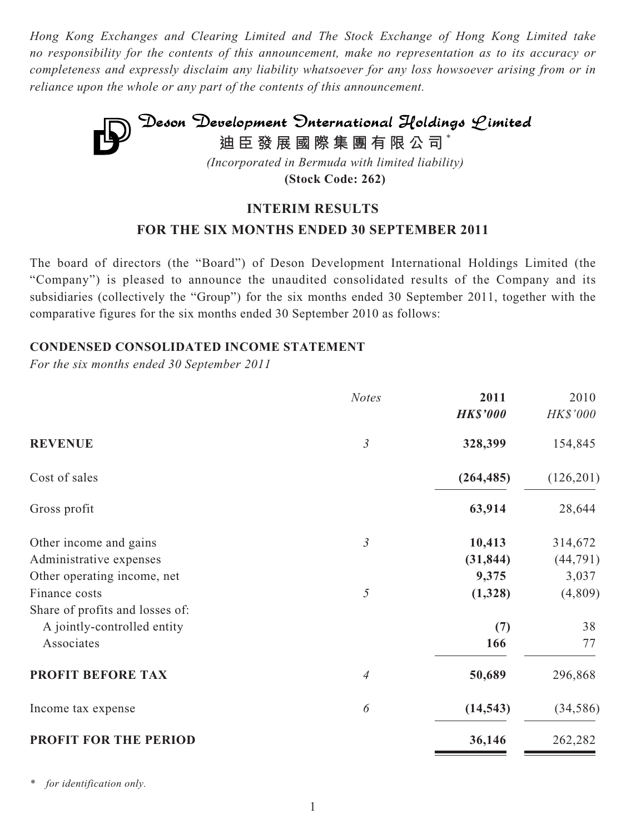*Hong Kong Exchanges and Clearing Limited and The Stock Exchange of Hong Kong Limited take no responsibility for the contents of this announcement, make no representation as to its accuracy or completeness and expressly disclaim any liability whatsoever for any loss howsoever arising from or in reliance upon the whole or any part of the contents of this announcement.*



**(Stock Code: 262)**

## **INTERIM RESULTS**

# **FOR THE SIX MONTHS ENDED 30 SEPTEMBER 2011**

The board of directors (the "Board") of Deson Development International Holdings Limited (the "Company") is pleased to announce the unaudited consolidated results of the Company and its subsidiaries (collectively the "Group") for the six months ended 30 September 2011, together with the comparative figures for the six months ended 30 September 2010 as follows:

## **CONDENSED CONSOLIDATED INCOME STATEMENT**

*For the six months ended 30 September 2011*

|                                 | <b>Notes</b>   | 2011            | 2010      |
|---------------------------------|----------------|-----------------|-----------|
|                                 |                | <b>HK\$'000</b> | HK\$'000  |
| <b>REVENUE</b>                  | $\mathfrak{Z}$ | 328,399         | 154,845   |
| Cost of sales                   |                | (264, 485)      | (126,201) |
| Gross profit                    |                | 63,914          | 28,644    |
| Other income and gains          | $\mathfrak{Z}$ | 10,413          | 314,672   |
| Administrative expenses         |                | (31, 844)       | (44, 791) |
| Other operating income, net     |                | 9,375           | 3,037     |
| Finance costs                   | $\sqrt{2}$     | (1,328)         | (4,809)   |
| Share of profits and losses of: |                |                 |           |
| A jointly-controlled entity     |                | (7)             | 38        |
| Associates                      |                | 166             | 77        |
| <b>PROFIT BEFORE TAX</b>        | 4              | 50,689          | 296,868   |
| Income tax expense              | 6              | (14, 543)       | (34, 586) |
| <b>PROFIT FOR THE PERIOD</b>    |                | 36,146          | 262,282   |

*\* for identification only.*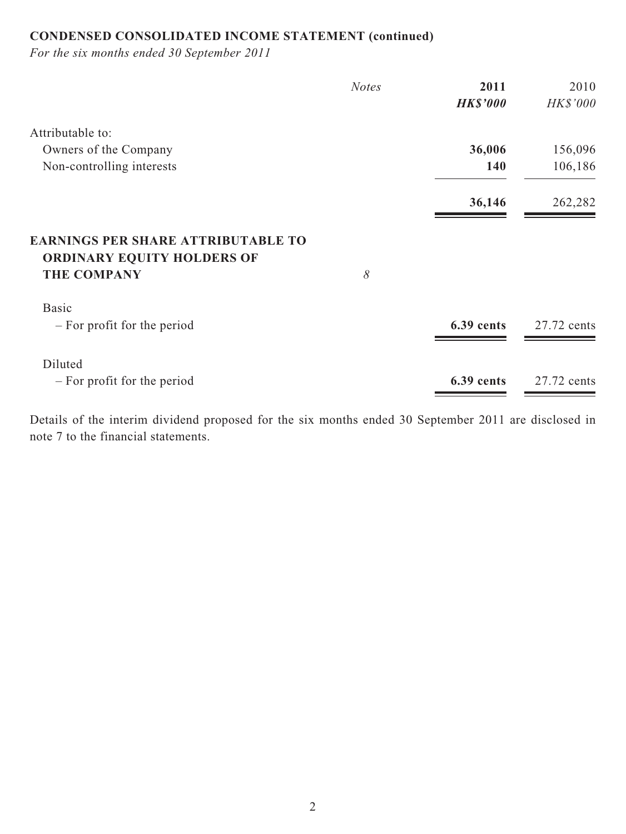# **CONDENSED CONSOLIDATED INCOME STATEMENT (continued)**

*For the six months ended 30 September 2011*

|                                                                                                      | <b>Notes</b> | 2011            | 2010        |
|------------------------------------------------------------------------------------------------------|--------------|-----------------|-------------|
|                                                                                                      |              | <b>HK\$'000</b> | HK\$'000    |
| Attributable to:                                                                                     |              |                 |             |
| Owners of the Company                                                                                |              | 36,006          | 156,096     |
| Non-controlling interests                                                                            |              | 140             | 106,186     |
|                                                                                                      |              | 36,146          | 262,282     |
| <b>EARNINGS PER SHARE ATTRIBUTABLE TO</b><br><b>ORDINARY EQUITY HOLDERS OF</b><br><b>THE COMPANY</b> | 8            |                 |             |
| <b>Basic</b><br>- For profit for the period                                                          |              | 6.39 cents      | 27.72 cents |
| Diluted<br>$-$ For profit for the period                                                             |              | 6.39 cents      | 27.72 cents |

Details of the interim dividend proposed for the six months ended 30 September 2011 are disclosed in note 7 to the financial statements.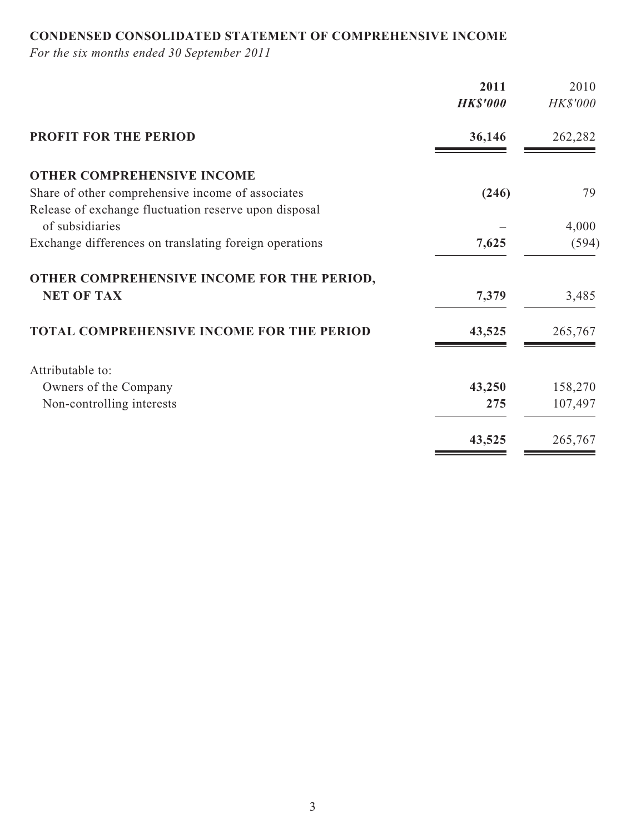# **CONDENSED CONSOLIDATED STATEMENT OF COMPREHENSIVE INCOME**

*For the six months ended 30 September 2011*

|                                                        | 2011            | 2010            |
|--------------------------------------------------------|-----------------|-----------------|
|                                                        | <b>HK\$'000</b> | <b>HK\$'000</b> |
| <b>PROFIT FOR THE PERIOD</b>                           | 36,146          | 262,282         |
| <b>OTHER COMPREHENSIVE INCOME</b>                      |                 |                 |
| Share of other comprehensive income of associates      | (246)           | 79              |
| Release of exchange fluctuation reserve upon disposal  |                 |                 |
| of subsidiaries                                        |                 | 4,000           |
| Exchange differences on translating foreign operations | 7,625           | (594)           |
| OTHER COMPREHENSIVE INCOME FOR THE PERIOD,             |                 |                 |
| <b>NET OF TAX</b>                                      | 7,379           | 3,485           |
| TOTAL COMPREHENSIVE INCOME FOR THE PERIOD              | 43,525          | 265,767         |
| Attributable to:                                       |                 |                 |
| Owners of the Company                                  | 43,250          | 158,270         |
| Non-controlling interests                              | 275             | 107,497         |
|                                                        | 43,525          | 265,767         |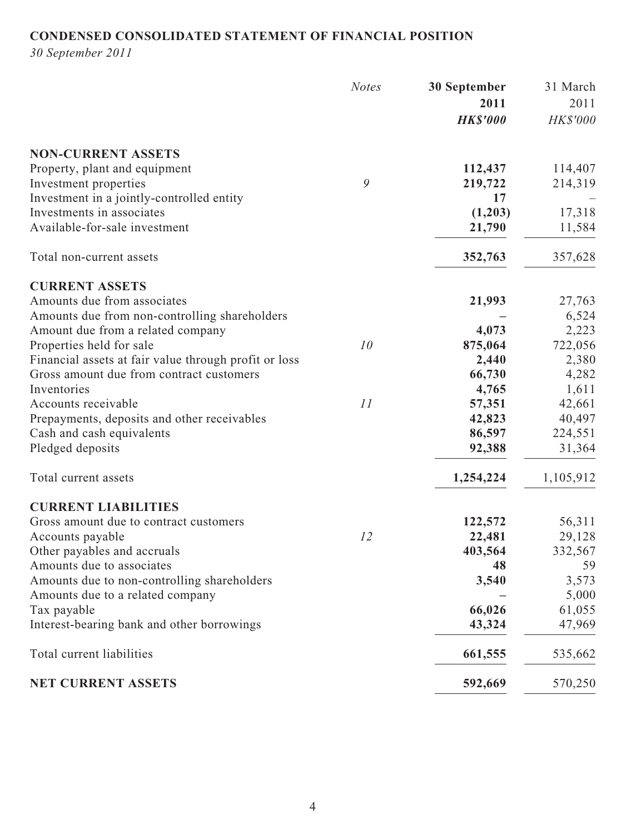# **CONDENSED CONSOLIDATED STATEMENT OF FINANCIAL POSITION**

*30 September 2011*

|                                                       | <b>Notes</b> | 30 September    | 31 March  |
|-------------------------------------------------------|--------------|-----------------|-----------|
|                                                       |              | 2011            | 2011      |
|                                                       |              | <b>HK\$'000</b> | HK\$'000  |
| <b>NON-CURRENT ASSETS</b>                             |              |                 |           |
| Property, plant and equipment                         |              | 112,437         | 114,407   |
| Investment properties                                 | 9            | 219,722         | 214,319   |
| Investment in a jointly-controlled entity             |              | 17              |           |
| Investments in associates                             |              | (1,203)         | 17,318    |
| Available-for-sale investment                         |              | 21,790          | 11,584    |
| Total non-current assets                              |              | 352,763         | 357,628   |
| <b>CURRENT ASSETS</b>                                 |              |                 |           |
| Amounts due from associates                           |              | 21,993          | 27,763    |
| Amounts due from non-controlling shareholders         |              |                 | 6,524     |
| Amount due from a related company                     |              | 4,073           | 2,223     |
| Properties held for sale                              | 10           | 875,064         | 722,056   |
| Financial assets at fair value through profit or loss |              | 2,440           | 2,380     |
| Gross amount due from contract customers              |              | 66,730          | 4,282     |
| Inventories                                           |              | 4,765           | 1,611     |
| Accounts receivable                                   | 11           | 57,351          | 42,661    |
| Prepayments, deposits and other receivables           |              | 42,823          | 40,497    |
| Cash and cash equivalents                             |              | 86,597          | 224,551   |
| Pledged deposits                                      |              | 92,388          | 31,364    |
| Total current assets                                  |              | 1,254,224       | 1,105,912 |
| <b>CURRENT LIABILITIES</b>                            |              |                 |           |
| Gross amount due to contract customers                |              | 122,572         | 56,311    |
| Accounts payable                                      | 12           | 22,481          | 29,128    |
| Other payables and accruals                           |              | 403,564         | 332,567   |
| Amounts due to associates                             |              | 48              | 59        |
| Amounts due to non-controlling shareholders           |              | 3,540           | 3,573     |
| Amounts due to a related company                      |              |                 | 5,000     |
| Tax payable                                           |              | 66,026          | 61,055    |
| Interest-bearing bank and other borrowings            |              | 43,324          | 47,969    |
| Total current liabilities                             |              | 661,555         | 535,662   |
| <b>NET CURRENT ASSETS</b>                             |              | 592,669         | 570,250   |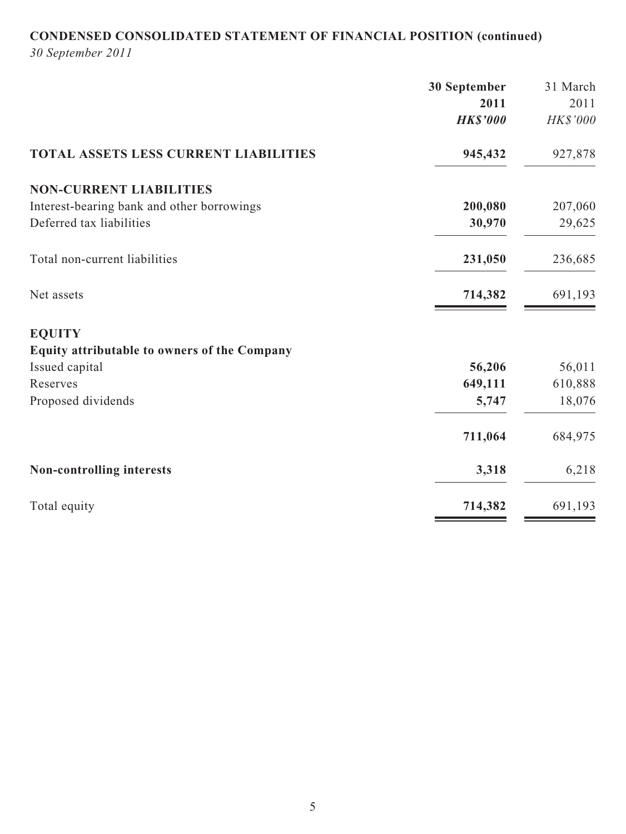# **CONDENSED CONSOLIDATED STATEMENT OF FINANCIAL POSITION (continued)**

*30 September 2011*

|                                              | 30 September    | 31 March |
|----------------------------------------------|-----------------|----------|
|                                              | 2011            | 2011     |
|                                              | <b>HK\$'000</b> | HK\$'000 |
| <b>TOTAL ASSETS LESS CURRENT LIABILITIES</b> | 945,432         | 927,878  |
| <b>NON-CURRENT LIABILITIES</b>               |                 |          |
| Interest-bearing bank and other borrowings   | 200,080         | 207,060  |
| Deferred tax liabilities                     | 30,970          | 29,625   |
| Total non-current liabilities                | 231,050         | 236,685  |
| Net assets                                   | 714,382         | 691,193  |
| <b>EQUITY</b>                                |                 |          |
| Equity attributable to owners of the Company |                 |          |
| Issued capital                               | 56,206          | 56,011   |
| Reserves                                     | 649,111         | 610,888  |
| Proposed dividends                           | 5,747           | 18,076   |
|                                              | 711,064         | 684,975  |
| <b>Non-controlling interests</b>             | 3,318           | 6,218    |
| Total equity                                 | 714,382         | 691,193  |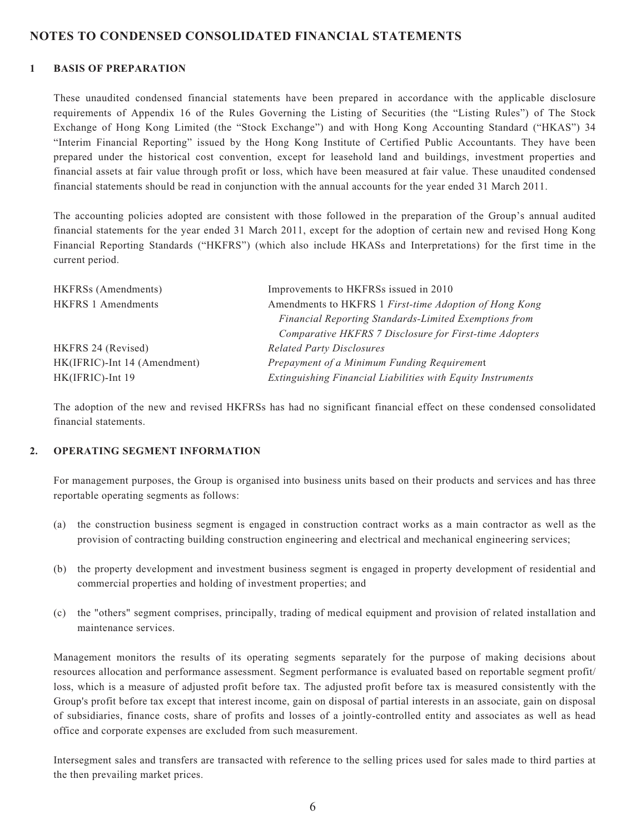#### **NOTES TO CONDENSED CONSOLIDATED FINANCIAL STATEMENTS**

#### **1 BASIS OF PREPARATION**

These unaudited condensed financial statements have been prepared in accordance with the applicable disclosure requirements of Appendix 16 of the Rules Governing the Listing of Securities (the "Listing Rules") of The Stock Exchange of Hong Kong Limited (the "Stock Exchange") and with Hong Kong Accounting Standard ("HKAS") 34 "Interim Financial Reporting" issued by the Hong Kong Institute of Certified Public Accountants. They have been prepared under the historical cost convention, except for leasehold land and buildings, investment properties and financial assets at fair value through profit or loss, which have been measured at fair value. These unaudited condensed financial statements should be read in conjunction with the annual accounts for the year ended 31 March 2011.

The accounting policies adopted are consistent with those followed in the preparation of the Group's annual audited financial statements for the year ended 31 March 2011, except for the adoption of certain new and revised Hong Kong Financial Reporting Standards ("HKFRS") (which also include HKASs and Interpretations) for the first time in the current period.

| HKFRSs (Amendments)          | Improvements to HKFRSs issued in 2010                              |
|------------------------------|--------------------------------------------------------------------|
| <b>HKFRS 1 Amendments</b>    | Amendments to HKFRS 1 First-time Adoption of Hong Kong             |
|                              | Financial Reporting Standards-Limited Exemptions from              |
|                              | Comparative HKFRS 7 Disclosure for First-time Adopters             |
| HKFRS 24 (Revised)           | <b>Related Party Disclosures</b>                                   |
| HK(IFRIC)-Int 14 (Amendment) | Prepayment of a Minimum Funding Requirement                        |
| HK(IFRIC)-Int 19             | <b>Extinguishing Financial Liabilities with Equity Instruments</b> |

The adoption of the new and revised HKFRSs has had no significant financial effect on these condensed consolidated financial statements.

#### **2. OPERATING SEGMENT INFORMATION**

For management purposes, the Group is organised into business units based on their products and services and has three reportable operating segments as follows:

- (a) the construction business segment is engaged in construction contract works as a main contractor as well as the provision of contracting building construction engineering and electrical and mechanical engineering services;
- (b) the property development and investment business segment is engaged in property development of residential and commercial properties and holding of investment properties; and
- (c) the "others" segment comprises, principally, trading of medical equipment and provision of related installation and maintenance services.

Management monitors the results of its operating segments separately for the purpose of making decisions about resources allocation and performance assessment. Segment performance is evaluated based on reportable segment profit/ loss, which is a measure of adjusted profit before tax. The adjusted profit before tax is measured consistently with the Group's profit before tax except that interest income, gain on disposal of partial interests in an associate, gain on disposal of subsidiaries, finance costs, share of profits and losses of a jointly-controlled entity and associates as well as head office and corporate expenses are excluded from such measurement.

Intersegment sales and transfers are transacted with reference to the selling prices used for sales made to third parties at the then prevailing market prices.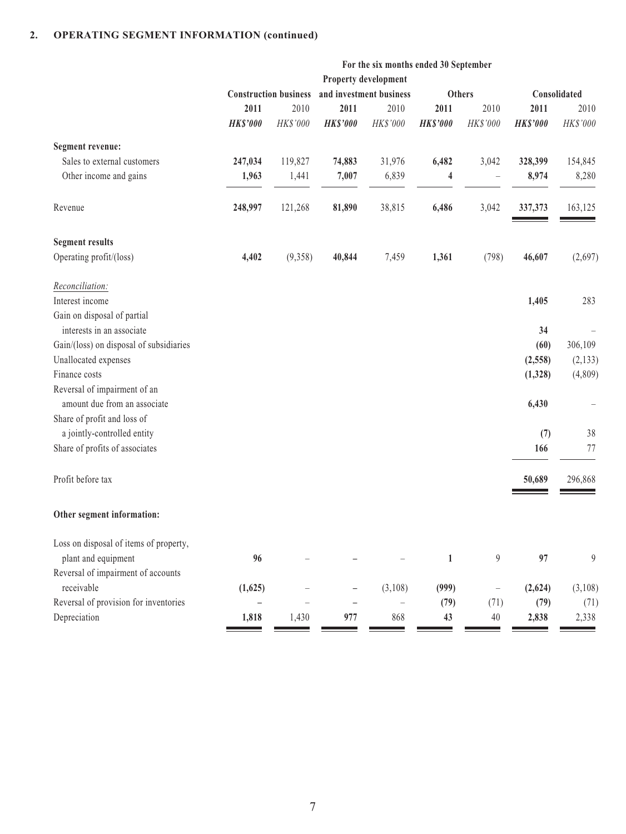#### **2. OPERATING SEGMENT INFORMATION (continued)**

|                                                              |                          |                              |                          | For the six months ended 30 September |                 |                   |                 |                |
|--------------------------------------------------------------|--------------------------|------------------------------|--------------------------|---------------------------------------|-----------------|-------------------|-----------------|----------------|
|                                                              | Property development     |                              |                          |                                       |                 |                   |                 |                |
|                                                              |                          | <b>Construction business</b> |                          | and investment business               |                 | <b>Others</b>     |                 | Consolidated   |
|                                                              | 2011                     | 2010                         | 2011                     | 2010                                  | 2011            | 2010              | 2011            | 2010           |
|                                                              | <b>HK\$'000</b>          | HK\$'000                     | <b>HK\$'000</b>          | HK\$'000                              | <b>HK\$'000</b> | HK\$'000          | <b>HK\$'000</b> | HK\$'000       |
| Segment revenue:                                             |                          |                              |                          |                                       |                 |                   |                 |                |
| Sales to external customers                                  | 247,034                  | 119,827                      | 74,883                   | 31,976                                | 6,482           | 3,042             | 328,399         | 154,845        |
| Other income and gains                                       | 1,963                    | 1,441                        | 7,007                    | 6,839                                 | 4               | $\qquad \qquad -$ | 8,974           | 8,280          |
| Revenue                                                      | 248,997                  | 121,268                      | 81,890                   | 38,815                                | 6,486           | 3,042             | 337,373         | 163,125        |
| <b>Segment results</b>                                       |                          |                              |                          |                                       |                 |                   |                 |                |
| Operating profit/(loss)                                      | 4,402                    | (9,358)                      | 40,844                   | 7,459                                 | 1,361           | (798)             | 46,607          | (2,697)        |
| Reconciliation:                                              |                          |                              |                          |                                       |                 |                   |                 |                |
| Interest income                                              |                          |                              |                          |                                       |                 |                   | 1,405           | 283            |
| Gain on disposal of partial<br>interests in an associate     |                          |                              |                          |                                       |                 |                   | 34              |                |
| Gain/(loss) on disposal of subsidiaries                      |                          |                              |                          |                                       |                 |                   | (60)            | 306,109        |
| Unallocated expenses                                         |                          |                              |                          |                                       |                 |                   |                 | (2, 133)       |
| Finance costs                                                |                          |                              |                          |                                       |                 |                   | (2, 558)        |                |
|                                                              |                          |                              |                          |                                       |                 |                   | (1,328)         | (4,809)        |
| Reversal of impairment of an<br>amount due from an associate |                          |                              |                          |                                       |                 |                   |                 |                |
|                                                              |                          |                              |                          |                                       |                 |                   | 6,430           |                |
| Share of profit and loss of                                  |                          |                              |                          |                                       |                 |                   |                 |                |
| a jointly-controlled entity                                  |                          |                              |                          |                                       |                 |                   | (7)             | 38             |
| Share of profits of associates                               |                          |                              |                          |                                       |                 |                   | 166             | 77             |
| Profit before tax                                            |                          |                              |                          |                                       |                 |                   | 50,689          | 296,868        |
| Other segment information:                                   |                          |                              |                          |                                       |                 |                   |                 |                |
| Loss on disposal of items of property,                       |                          |                              |                          |                                       |                 |                   |                 |                |
| plant and equipment                                          | 96                       |                              |                          |                                       | $\mathbf{1}$    | $\overline{9}$    | 97              | $\overline{9}$ |
| Reversal of impairment of accounts                           |                          |                              |                          |                                       |                 |                   |                 |                |
| receivable                                                   | (1,625)                  |                              |                          | (3,108)                               | (999)           | $\qquad \qquad -$ | (2,624)         | (3,108)        |
| Reversal of provision for inventories                        | $\overline{\phantom{0}}$ |                              | $\overline{\phantom{0}}$ | $\qquad \qquad -$                     | (79)            | (71)              | (79)            | (71)           |
| Depreciation                                                 | 1,818                    | 1,430                        | 977                      | 868                                   | 43              | 40                | 2,838           | 2,338          |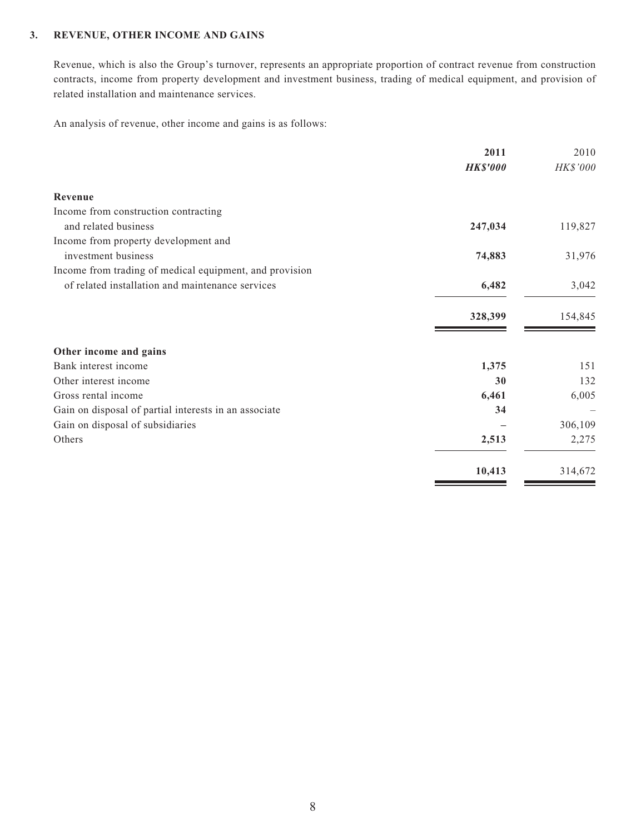#### **3. REVENUE, OTHER INCOME AND GAINS**

Revenue, which is also the Group's turnover, represents an appropriate proportion of contract revenue from construction contracts, income from property development and investment business, trading of medical equipment, and provision of related installation and maintenance services.

An analysis of revenue, other income and gains is as follows:

|                                                         | 2011            | 2010     |
|---------------------------------------------------------|-----------------|----------|
|                                                         | <b>HK\$'000</b> | HK\$'000 |
| Revenue                                                 |                 |          |
| Income from construction contracting                    |                 |          |
| and related business                                    | 247,034         | 119,827  |
| Income from property development and                    |                 |          |
| investment business                                     | 74,883          | 31,976   |
| Income from trading of medical equipment, and provision |                 |          |
| of related installation and maintenance services        | 6,482           | 3,042    |
|                                                         | 328,399         | 154,845  |
| Other income and gains                                  |                 |          |
| Bank interest income                                    | 1,375           | 151      |
| Other interest income                                   | 30              | 132      |
| Gross rental income                                     | 6,461           | 6,005    |
| Gain on disposal of partial interests in an associate   | 34              |          |
| Gain on disposal of subsidiaries                        |                 | 306,109  |
| Others                                                  | 2,513           | 2,275    |
|                                                         | 10,413          | 314,672  |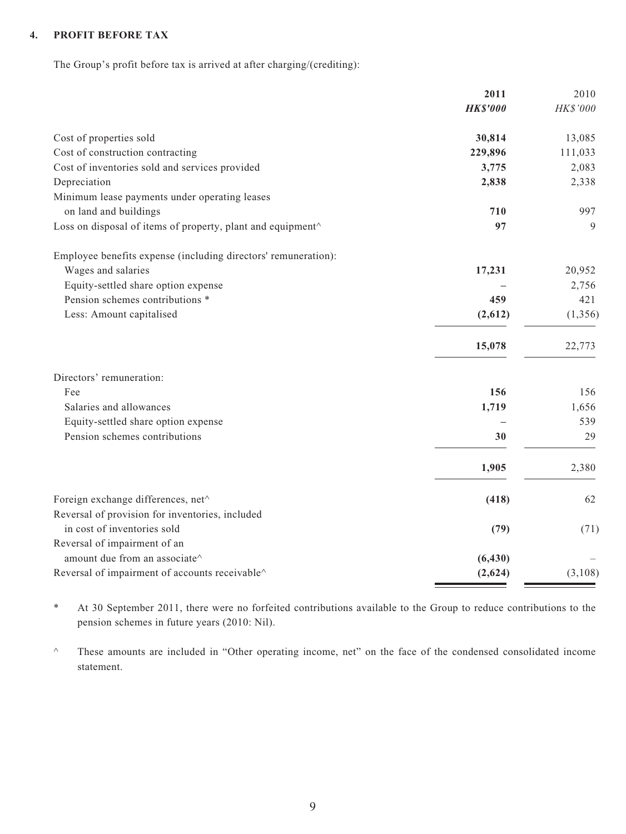#### **4. PROFIT BEFORE TAX**

The Group's profit before tax is arrived at after charging/(crediting):

|                                                                | 2011            | 2010     |
|----------------------------------------------------------------|-----------------|----------|
|                                                                | <b>HK\$'000</b> | HK\$'000 |
| Cost of properties sold                                        | 30,814          | 13,085   |
| Cost of construction contracting                               | 229,896         | 111,033  |
| Cost of inventories sold and services provided                 | 3,775           | 2,083    |
| Depreciation                                                   | 2,838           | 2,338    |
| Minimum lease payments under operating leases                  |                 |          |
| on land and buildings                                          | 710             | 997      |
| Loss on disposal of items of property, plant and equipment^    | 97              | 9        |
| Employee benefits expense (including directors' remuneration): |                 |          |
| Wages and salaries                                             | 17,231          | 20,952   |
| Equity-settled share option expense                            |                 | 2,756    |
| Pension schemes contributions *                                | 459             | 421      |
| Less: Amount capitalised                                       | (2,612)         | (1, 356) |
|                                                                | 15,078          | 22,773   |
| Directors' remuneration:                                       |                 |          |
| Fee                                                            | 156             | 156      |
| Salaries and allowances                                        | 1,719           | 1,656    |
| Equity-settled share option expense                            |                 | 539      |
| Pension schemes contributions                                  | 30              | 29       |
|                                                                | 1,905           | 2,380    |
| Foreign exchange differences, net^                             | (418)           | 62       |
| Reversal of provision for inventories, included                |                 |          |
| in cost of inventories sold                                    | (79)            | (71)     |
| Reversal of impairment of an                                   |                 |          |
| amount due from an associate^                                  | (6, 430)        |          |
| Reversal of impairment of accounts receivable^                 | (2,624)         | (3,108)  |
|                                                                |                 |          |

\* At 30 September 2011, there were no forfeited contributions available to the Group to reduce contributions to the pension schemes in future years (2010: Nil).

^ These amounts are included in "Other operating income, net" on the face of the condensed consolidated income statement.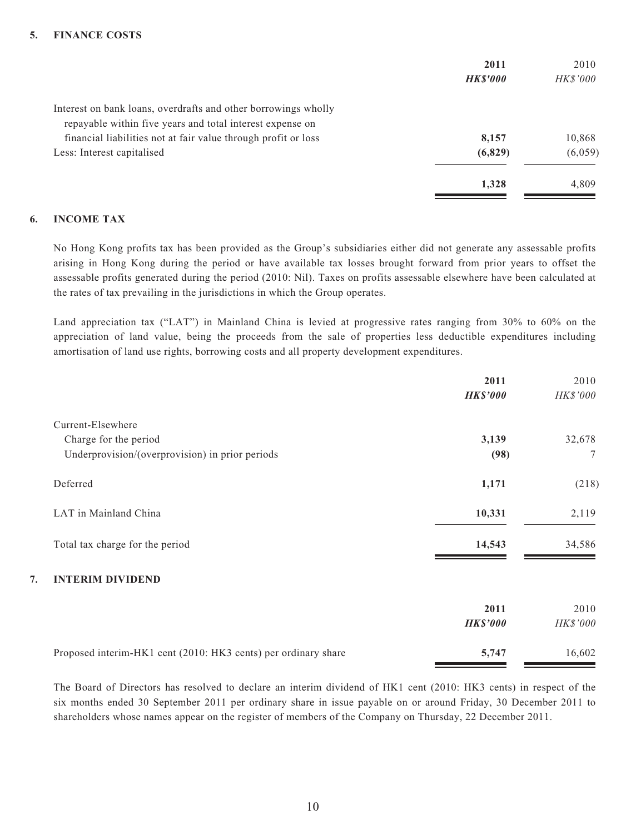|                                                                | 2011           | 2010            |
|----------------------------------------------------------------|----------------|-----------------|
|                                                                | <b>HKS'000</b> | <i>HK\$'000</i> |
| Interest on bank loans, overdrafts and other borrowings wholly |                |                 |
| repayable within five years and total interest expense on      |                |                 |
| financial liabilities not at fair value through profit or loss | 8,157          | 10,868          |
| Less: Interest capitalised                                     | (6,829)        | (6,059)         |
|                                                                | 1,328          | 4.809           |

#### **6. INCOME TAX**

No Hong Kong profits tax has been provided as the Group's subsidiaries either did not generate any assessable profits arising in Hong Kong during the period or have available tax losses brought forward from prior years to offset the assessable profits generated during the period (2010: Nil). Taxes on profits assessable elsewhere have been calculated at the rates of tax prevailing in the jurisdictions in which the Group operates.

Land appreciation tax ("LAT") in Mainland China is levied at progressive rates ranging from 30% to 60% on the appreciation of land value, being the proceeds from the sale of properties less deductible expenditures including amortisation of land use rights, borrowing costs and all property development expenditures.

|                                                                | 2011            | 2010            |
|----------------------------------------------------------------|-----------------|-----------------|
|                                                                | <b>HK\$'000</b> | HK\$'000        |
| Current-Elsewhere                                              |                 |                 |
| Charge for the period                                          | 3,139           | 32,678          |
| Underprovision/(overprovision) in prior periods                | (98)            | $7\phantom{.0}$ |
| Deferred                                                       | 1,171           | (218)           |
| LAT in Mainland China                                          | 10,331          | 2,119           |
| Total tax charge for the period                                | 14,543          | 34,586          |
| <b>INTERIM DIVIDEND</b><br>7.                                  |                 |                 |
|                                                                | 2011            | 2010            |
|                                                                | <b>HK\$'000</b> | HK\$'000        |
| Proposed interim-HK1 cent (2010: HK3 cents) per ordinary share | 5,747           | 16,602          |

The Board of Directors has resolved to declare an interim dividend of HK1 cent (2010: HK3 cents) in respect of the six months ended 30 September 2011 per ordinary share in issue payable on or around Friday, 30 December 2011 to shareholders whose names appear on the register of members of the Company on Thursday, 22 December 2011.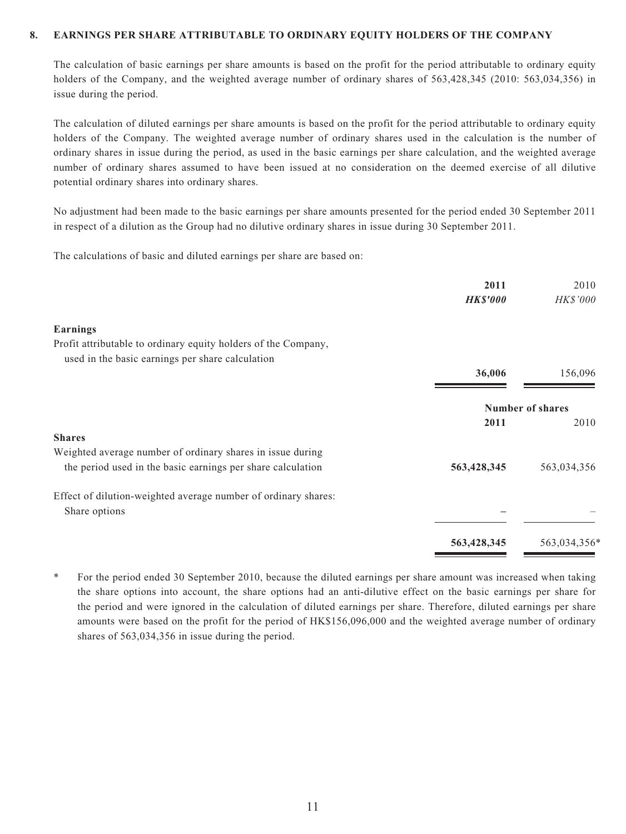#### **8. EARNINGS PER SHARE ATTRIBUTABLE TO ORDINARY EQUITY HOLDERS OF THE COMPANY**

The calculation of basic earnings per share amounts is based on the profit for the period attributable to ordinary equity holders of the Company, and the weighted average number of ordinary shares of 563,428,345 (2010: 563,034,356) in issue during the period.

The calculation of diluted earnings per share amounts is based on the profit for the period attributable to ordinary equity holders of the Company. The weighted average number of ordinary shares used in the calculation is the number of ordinary shares in issue during the period, as used in the basic earnings per share calculation, and the weighted average number of ordinary shares assumed to have been issued at no consideration on the deemed exercise of all dilutive potential ordinary shares into ordinary shares.

No adjustment had been made to the basic earnings per share amounts presented for the period ended 30 September 2011 in respect of a dilution as the Group had no dilutive ordinary shares in issue during 30 September 2011.

The calculations of basic and diluted earnings per share are based on:

|                                                                | 2011<br><b>HK\$'000</b> | 2010<br>HK\$'000        |
|----------------------------------------------------------------|-------------------------|-------------------------|
|                                                                |                         |                         |
| <b>Earnings</b>                                                |                         |                         |
| Profit attributable to ordinary equity holders of the Company, |                         |                         |
| used in the basic earnings per share calculation               |                         |                         |
|                                                                | 36,006                  | 156,096                 |
|                                                                |                         | <b>Number of shares</b> |
|                                                                | 2011                    | 2010                    |
| <b>Shares</b>                                                  |                         |                         |
| Weighted average number of ordinary shares in issue during     |                         |                         |
| the period used in the basic earnings per share calculation    | 563,428,345             | 563,034,356             |
| Effect of dilution-weighted average number of ordinary shares: |                         |                         |
| Share options                                                  |                         |                         |
|                                                                | 563,428,345             | 563,034,356*            |
|                                                                |                         |                         |

For the period ended 30 September 2010, because the diluted earnings per share amount was increased when taking the share options into account, the share options had an anti-dilutive effect on the basic earnings per share for the period and were ignored in the calculation of diluted earnings per share. Therefore, diluted earnings per share amounts were based on the profit for the period of HK\$156,096,000 and the weighted average number of ordinary shares of 563,034,356 in issue during the period.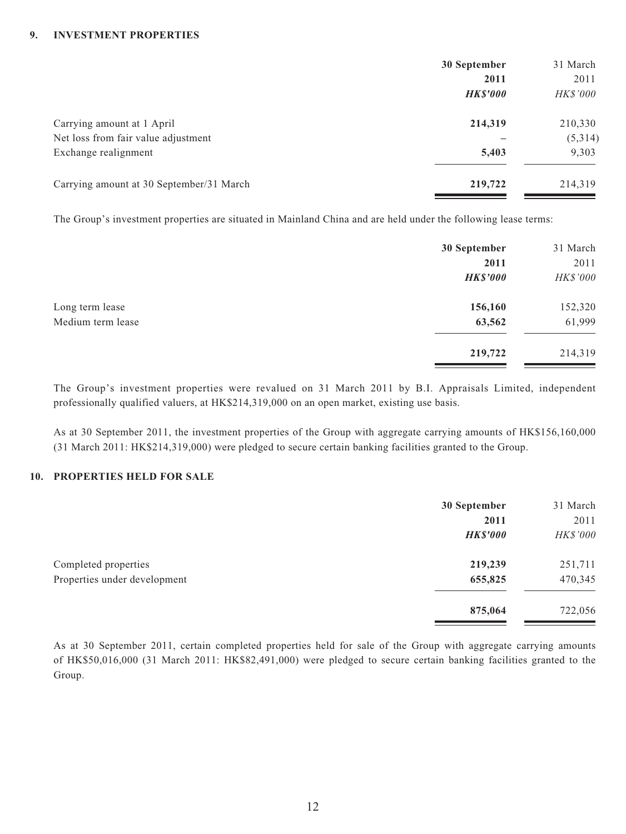#### **9. INVESTMENT PROPERTIES**

|                                          | 30 September    | 31 March        |
|------------------------------------------|-----------------|-----------------|
|                                          | 2011            | 2011            |
|                                          | <b>HK\$'000</b> | <i>HK\$'000</i> |
| Carrying amount at 1 April               | 214,319         | 210,330         |
| Net loss from fair value adjustment      |                 | (5,314)         |
| Exchange realignment                     | 5,403           | 9,303           |
| Carrying amount at 30 September/31 March | 219,722         | 214,319         |

The Group's investment properties are situated in Mainland China and are held under the following lease terms:

|                   | 30 September    | 31 March |
|-------------------|-----------------|----------|
|                   | 2011            | 2011     |
|                   | <b>HK\$'000</b> | HK\$'000 |
| Long term lease   | 156,160         | 152,320  |
| Medium term lease | 63,562          | 61,999   |
|                   | 219,722         | 214,319  |

The Group's investment properties were revalued on 31 March 2011 by B.I. Appraisals Limited, independent professionally qualified valuers, at HK\$214,319,000 on an open market, existing use basis.

As at 30 September 2011, the investment properties of the Group with aggregate carrying amounts of HK\$156,160,000 (31 March 2011: HK\$214,319,000) were pledged to secure certain banking facilities granted to the Group.

#### **10. PROPERTIES HELD FOR SALE**

|                              | 30 September<br>2011 | 31 March<br>2011 |
|------------------------------|----------------------|------------------|
|                              | <b>HK\$'000</b>      | HK\$'000         |
| Completed properties         | 219,239              | 251,711          |
| Properties under development | 655,825              | 470,345          |
|                              | 875,064              | 722,056          |

As at 30 September 2011, certain completed properties held for sale of the Group with aggregate carrying amounts of HK\$50,016,000 (31 March 2011: HK\$82,491,000) were pledged to secure certain banking facilities granted to the Group.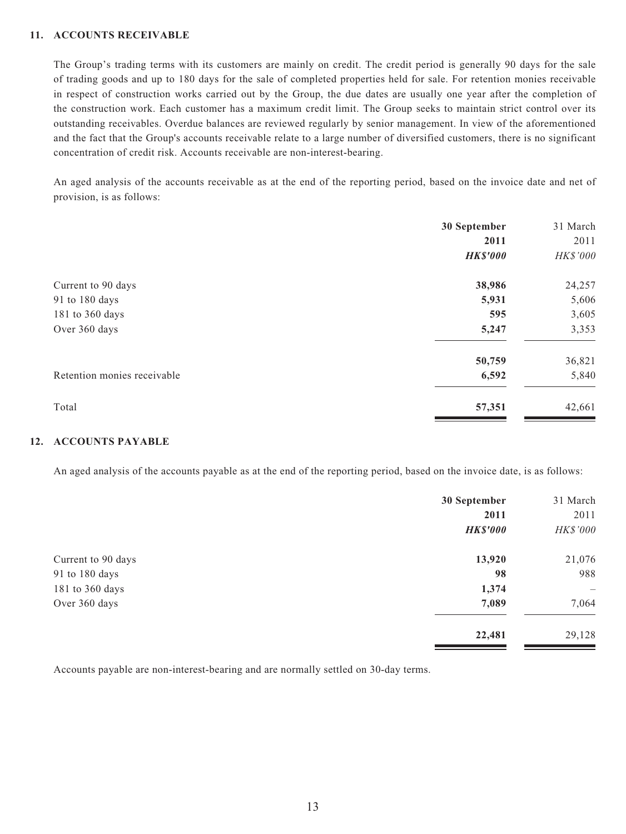#### **11. ACCOUNTS RECEIVABLE**

The Group's trading terms with its customers are mainly on credit. The credit period is generally 90 days for the sale of trading goods and up to 180 days for the sale of completed properties held for sale. For retention monies receivable in respect of construction works carried out by the Group, the due dates are usually one year after the completion of the construction work. Each customer has a maximum credit limit. The Group seeks to maintain strict control over its outstanding receivables. Overdue balances are reviewed regularly by senior management. In view of the aforementioned and the fact that the Group's accounts receivable relate to a large number of diversified customers, there is no significant concentration of credit risk. Accounts receivable are non-interest-bearing.

An aged analysis of the accounts receivable as at the end of the reporting period, based on the invoice date and net of provision, is as follows:

|                             | 30 September    | 31 March |
|-----------------------------|-----------------|----------|
|                             | 2011            | 2011     |
|                             | <b>HK\$'000</b> | HK\$'000 |
| Current to 90 days          | 38,986          | 24,257   |
| 91 to 180 days              | 5,931           | 5,606    |
| 181 to 360 days             | 595             | 3,605    |
| Over 360 days               | 5,247           | 3,353    |
|                             | 50,759          | 36,821   |
| Retention monies receivable | 6,592           | 5,840    |
| Total                       | 57,351          | 42,661   |
|                             |                 |          |

#### **12. ACCOUNTS PAYABLE**

An aged analysis of the accounts payable as at the end of the reporting period, based on the invoice date, is as follows:

|                    | 30 September    | 31 March                 |
|--------------------|-----------------|--------------------------|
|                    | 2011            | 2011                     |
|                    | <b>HK\$'000</b> | HK\$'000                 |
| Current to 90 days | 13,920          | 21,076                   |
| 91 to 180 days     | 98              | 988                      |
| 181 to 360 days    | 1,374           | $\overline{\phantom{m}}$ |
| Over 360 days      | 7,089           | 7,064                    |
|                    | 22,481          | 29,128                   |

Accounts payable are non-interest-bearing and are normally settled on 30-day terms.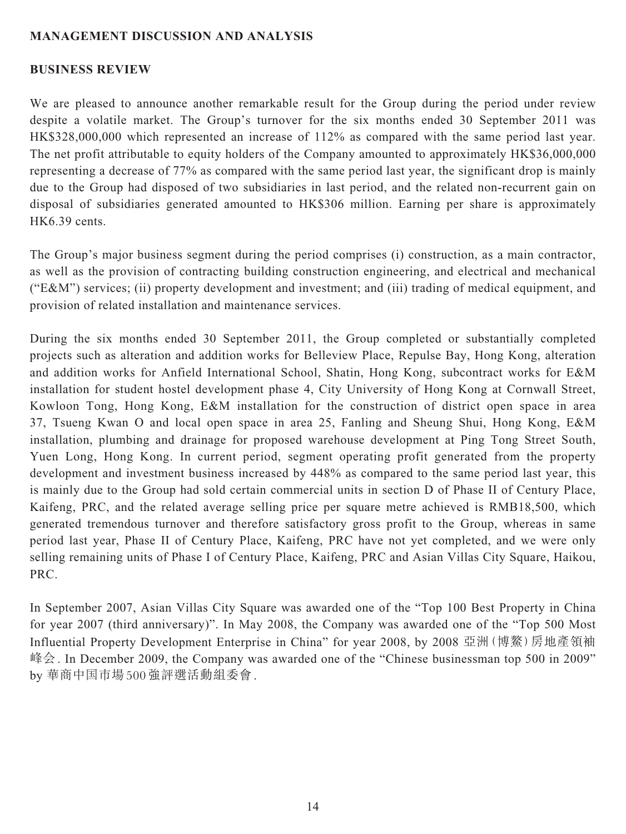#### **MANAGEMENT DISCUSSION AND ANALYSIS**

#### **BUSINESS REVIEW**

We are pleased to announce another remarkable result for the Group during the period under review despite a volatile market. The Group's turnover for the six months ended 30 September 2011 was HK\$328,000,000 which represented an increase of 112% as compared with the same period last year. The net profit attributable to equity holders of the Company amounted to approximately HK\$36,000,000 representing a decrease of 77% as compared with the same period last year, the significant drop is mainly due to the Group had disposed of two subsidiaries in last period, and the related non-recurrent gain on disposal of subsidiaries generated amounted to HK\$306 million. Earning per share is approximately HK6.39 cents.

The Group's major business segment during the period comprises (i) construction, as a main contractor, as well as the provision of contracting building construction engineering, and electrical and mechanical ("E&M") services; (ii) property development and investment; and (iii) trading of medical equipment, and provision of related installation and maintenance services.

During the six months ended 30 September 2011, the Group completed or substantially completed projects such as alteration and addition works for Belleview Place, Repulse Bay, Hong Kong, alteration and addition works for Anfield International School, Shatin, Hong Kong, subcontract works for E&M installation for student hostel development phase 4, City University of Hong Kong at Cornwall Street, Kowloon Tong, Hong Kong, E&M installation for the construction of district open space in area 37, Tsueng Kwan O and local open space in area 25, Fanling and Sheung Shui, Hong Kong, E&M installation, plumbing and drainage for proposed warehouse development at Ping Tong Street South, Yuen Long, Hong Kong. In current period, segment operating profit generated from the property development and investment business increased by 448% as compared to the same period last year, this is mainly due to the Group had sold certain commercial units in section D of Phase II of Century Place, Kaifeng, PRC, and the related average selling price per square metre achieved is RMB18,500, which generated tremendous turnover and therefore satisfactory gross profit to the Group, whereas in same period last year, Phase II of Century Place, Kaifeng, PRC have not yet completed, and we were only selling remaining units of Phase I of Century Place, Kaifeng, PRC and Asian Villas City Square, Haikou, PRC.

In September 2007, Asian Villas City Square was awarded one of the "Top 100 Best Property in China for year 2007 (third anniversary)". In May 2008, the Company was awarded one of the "Top 500 Most Influential Property Development Enterprise in China" for year 2008, by 2008 亞洲(博鰲)房地產領袖 峰会. In December 2009, the Company was awarded one of the "Chinese businessman top 500 in 2009" by 華商中国市場 500強評選活動組委會.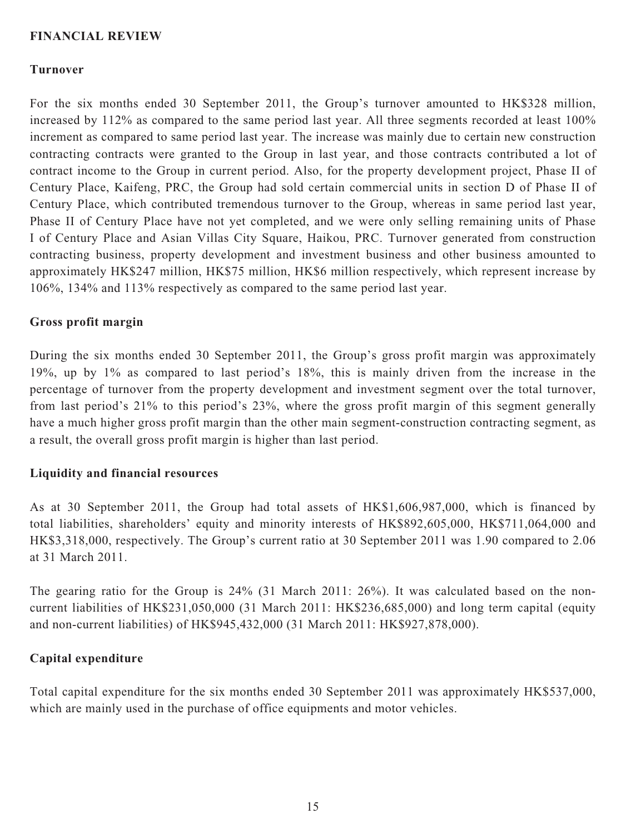#### **FINANCIAL REVIEW**

#### **Turnover**

For the six months ended 30 September 2011, the Group's turnover amounted to HK\$328 million, increased by 112% as compared to the same period last year. All three segments recorded at least 100% increment as compared to same period last year. The increase was mainly due to certain new construction contracting contracts were granted to the Group in last year, and those contracts contributed a lot of contract income to the Group in current period. Also, for the property development project, Phase II of Century Place, Kaifeng, PRC, the Group had sold certain commercial units in section D of Phase II of Century Place, which contributed tremendous turnover to the Group, whereas in same period last year, Phase II of Century Place have not yet completed, and we were only selling remaining units of Phase I of Century Place and Asian Villas City Square, Haikou, PRC. Turnover generated from construction contracting business, property development and investment business and other business amounted to approximately HK\$247 million, HK\$75 million, HK\$6 million respectively, which represent increase by 106%, 134% and 113% respectively as compared to the same period last year.

#### **Gross profit margin**

During the six months ended 30 September 2011, the Group's gross profit margin was approximately 19%, up by 1% as compared to last period's 18%, this is mainly driven from the increase in the percentage of turnover from the property development and investment segment over the total turnover, from last period's 21% to this period's 23%, where the gross profit margin of this segment generally have a much higher gross profit margin than the other main segment-construction contracting segment, as a result, the overall gross profit margin is higher than last period.

#### **Liquidity and financial resources**

As at 30 September 2011, the Group had total assets of HK\$1,606,987,000, which is financed by total liabilities, shareholders' equity and minority interests of HK\$892,605,000, HK\$711,064,000 and HK\$3,318,000, respectively. The Group's current ratio at 30 September 2011 was 1.90 compared to 2.06 at 31 March 2011.

The gearing ratio for the Group is 24% (31 March 2011: 26%). It was calculated based on the noncurrent liabilities of HK\$231,050,000 (31 March 2011: HK\$236,685,000) and long term capital (equity and non-current liabilities) of HK\$945,432,000 (31 March 2011: HK\$927,878,000).

## **Capital expenditure**

Total capital expenditure for the six months ended 30 September 2011 was approximately HK\$537,000, which are mainly used in the purchase of office equipments and motor vehicles.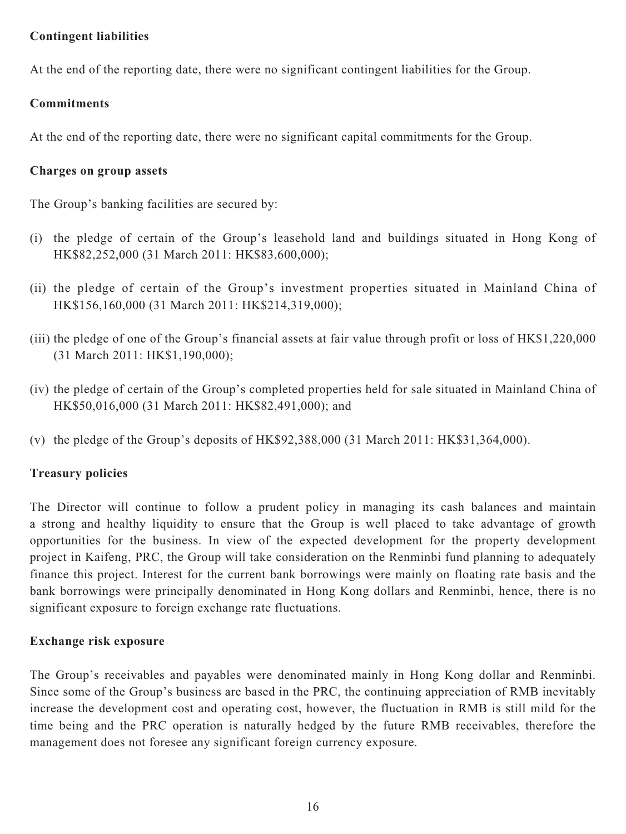## **Contingent liabilities**

At the end of the reporting date, there were no significant contingent liabilities for the Group.

# **Commitments**

At the end of the reporting date, there were no significant capital commitments for the Group.

## **Charges on group assets**

The Group's banking facilities are secured by:

- (i) the pledge of certain of the Group's leasehold land and buildings situated in Hong Kong of HK\$82,252,000 (31 March 2011: HK\$83,600,000);
- (ii) the pledge of certain of the Group's investment properties situated in Mainland China of HK\$156,160,000 (31 March 2011: HK\$214,319,000);
- (iii) the pledge of one of the Group's financial assets at fair value through profit or loss of HK\$1,220,000 (31 March 2011: HK\$1,190,000);
- (iv) the pledge of certain of the Group's completed properties held for sale situated in Mainland China of HK\$50,016,000 (31 March 2011: HK\$82,491,000); and
- (v) the pledge of the Group's deposits of HK\$92,388,000 (31 March 2011: HK\$31,364,000).

# **Treasury policies**

The Director will continue to follow a prudent policy in managing its cash balances and maintain a strong and healthy liquidity to ensure that the Group is well placed to take advantage of growth opportunities for the business. In view of the expected development for the property development project in Kaifeng, PRC, the Group will take consideration on the Renminbi fund planning to adequately finance this project. Interest for the current bank borrowings were mainly on floating rate basis and the bank borrowings were principally denominated in Hong Kong dollars and Renminbi, hence, there is no significant exposure to foreign exchange rate fluctuations.

# **Exchange risk exposure**

The Group's receivables and payables were denominated mainly in Hong Kong dollar and Renminbi. Since some of the Group's business are based in the PRC, the continuing appreciation of RMB inevitably increase the development cost and operating cost, however, the fluctuation in RMB is still mild for the time being and the PRC operation is naturally hedged by the future RMB receivables, therefore the management does not foresee any significant foreign currency exposure.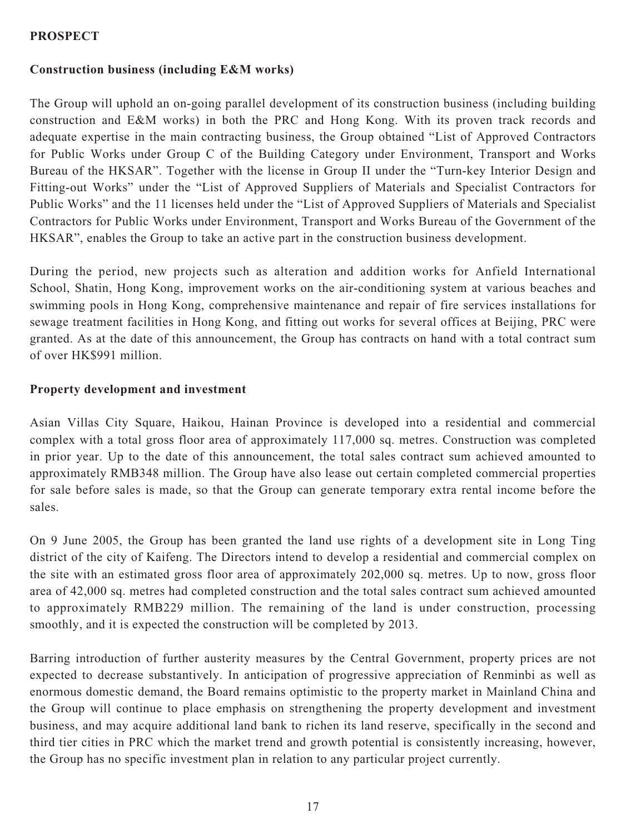## **PROSPECT**

## **Construction business (including E&M works)**

The Group will uphold an on-going parallel development of its construction business (including building construction and E&M works) in both the PRC and Hong Kong. With its proven track records and adequate expertise in the main contracting business, the Group obtained "List of Approved Contractors for Public Works under Group C of the Building Category under Environment, Transport and Works Bureau of the HKSAR". Together with the license in Group II under the "Turn-key Interior Design and Fitting-out Works" under the "List of Approved Suppliers of Materials and Specialist Contractors for Public Works" and the 11 licenses held under the "List of Approved Suppliers of Materials and Specialist Contractors for Public Works under Environment, Transport and Works Bureau of the Government of the HKSAR", enables the Group to take an active part in the construction business development.

During the period, new projects such as alteration and addition works for Anfield International School, Shatin, Hong Kong, improvement works on the air-conditioning system at various beaches and swimming pools in Hong Kong, comprehensive maintenance and repair of fire services installations for sewage treatment facilities in Hong Kong, and fitting out works for several offices at Beijing, PRC were granted. As at the date of this announcement, the Group has contracts on hand with a total contract sum of over HK\$991 million.

#### **Property development and investment**

Asian Villas City Square, Haikou, Hainan Province is developed into a residential and commercial complex with a total gross floor area of approximately 117,000 sq. metres. Construction was completed in prior year. Up to the date of this announcement, the total sales contract sum achieved amounted to approximately RMB348 million. The Group have also lease out certain completed commercial properties for sale before sales is made, so that the Group can generate temporary extra rental income before the sales.

On 9 June 2005, the Group has been granted the land use rights of a development site in Long Ting district of the city of Kaifeng. The Directors intend to develop a residential and commercial complex on the site with an estimated gross floor area of approximately 202,000 sq. metres. Up to now, gross floor area of 42,000 sq. metres had completed construction and the total sales contract sum achieved amounted to approximately RMB229 million. The remaining of the land is under construction, processing smoothly, and it is expected the construction will be completed by 2013.

Barring introduction of further austerity measures by the Central Government, property prices are not expected to decrease substantively. In anticipation of progressive appreciation of Renminbi as well as enormous domestic demand, the Board remains optimistic to the property market in Mainland China and the Group will continue to place emphasis on strengthening the property development and investment business, and may acquire additional land bank to richen its land reserve, specifically in the second and third tier cities in PRC which the market trend and growth potential is consistently increasing, however, the Group has no specific investment plan in relation to any particular project currently.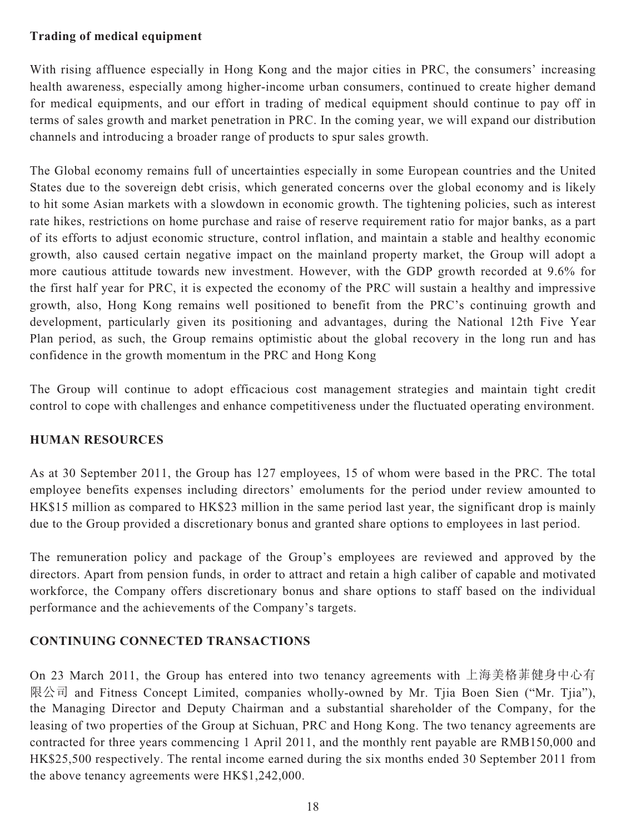## **Trading of medical equipment**

With rising affluence especially in Hong Kong and the major cities in PRC, the consumers' increasing health awareness, especially among higher-income urban consumers, continued to create higher demand for medical equipments, and our effort in trading of medical equipment should continue to pay off in terms of sales growth and market penetration in PRC. In the coming year, we will expand our distribution channels and introducing a broader range of products to spur sales growth.

The Global economy remains full of uncertainties especially in some European countries and the United States due to the sovereign debt crisis, which generated concerns over the global economy and is likely to hit some Asian markets with a slowdown in economic growth. The tightening policies, such as interest rate hikes, restrictions on home purchase and raise of reserve requirement ratio for major banks, as a part of its efforts to adjust economic structure, control inflation, and maintain a stable and healthy economic growth, also caused certain negative impact on the mainland property market, the Group will adopt a more cautious attitude towards new investment. However, with the GDP growth recorded at 9.6% for the first half year for PRC, it is expected the economy of the PRC will sustain a healthy and impressive growth, also, Hong Kong remains well positioned to benefit from the PRC's continuing growth and development, particularly given its positioning and advantages, during the National 12th Five Year Plan period, as such, the Group remains optimistic about the global recovery in the long run and has confidence in the growth momentum in the PRC and Hong Kong

The Group will continue to adopt efficacious cost management strategies and maintain tight credit control to cope with challenges and enhance competitiveness under the fluctuated operating environment.

# **HUMAN RESOURCES**

As at 30 September 2011, the Group has 127 employees, 15 of whom were based in the PRC. The total employee benefits expenses including directors' emoluments for the period under review amounted to HK\$15 million as compared to HK\$23 million in the same period last year, the significant drop is mainly due to the Group provided a discretionary bonus and granted share options to employees in last period.

The remuneration policy and package of the Group's employees are reviewed and approved by the directors. Apart from pension funds, in order to attract and retain a high caliber of capable and motivated workforce, the Company offers discretionary bonus and share options to staff based on the individual performance and the achievements of the Company's targets.

# **CONTINUING CONNECTED TRANSACTIONS**

On 23 March 2011, the Group has entered into two tenancy agreements with 上海美格菲健身中心有 限公司 and Fitness Concept Limited, companies wholly-owned by Mr. Tjia Boen Sien ("Mr. Tjia"), the Managing Director and Deputy Chairman and a substantial shareholder of the Company, for the leasing of two properties of the Group at Sichuan, PRC and Hong Kong. The two tenancy agreements are contracted for three years commencing 1 April 2011, and the monthly rent payable are RMB150,000 and HK\$25,500 respectively. The rental income earned during the six months ended 30 September 2011 from the above tenancy agreements were HK\$1,242,000.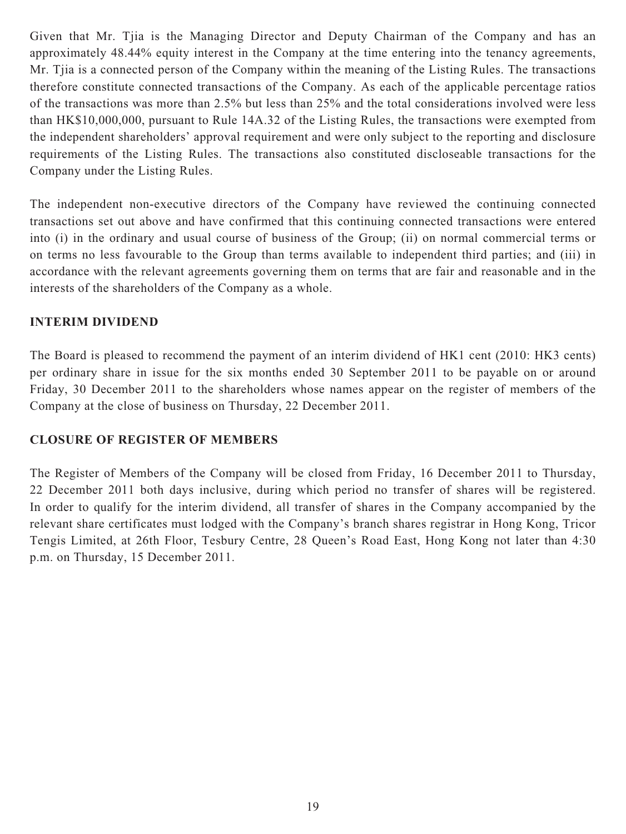Given that Mr. Tjia is the Managing Director and Deputy Chairman of the Company and has an approximately 48.44% equity interest in the Company at the time entering into the tenancy agreements, Mr. Tjia is a connected person of the Company within the meaning of the Listing Rules. The transactions therefore constitute connected transactions of the Company. As each of the applicable percentage ratios of the transactions was more than 2.5% but less than 25% and the total considerations involved were less than HK\$10,000,000, pursuant to Rule 14A.32 of the Listing Rules, the transactions were exempted from the independent shareholders' approval requirement and were only subject to the reporting and disclosure requirements of the Listing Rules. The transactions also constituted discloseable transactions for the Company under the Listing Rules.

The independent non-executive directors of the Company have reviewed the continuing connected transactions set out above and have confirmed that this continuing connected transactions were entered into (i) in the ordinary and usual course of business of the Group; (ii) on normal commercial terms or on terms no less favourable to the Group than terms available to independent third parties; and (iii) in accordance with the relevant agreements governing them on terms that are fair and reasonable and in the interests of the shareholders of the Company as a whole.

## **INTERIM DIVIDEND**

The Board is pleased to recommend the payment of an interim dividend of HK1 cent (2010: HK3 cents) per ordinary share in issue for the six months ended 30 September 2011 to be payable on or around Friday, 30 December 2011 to the shareholders whose names appear on the register of members of the Company at the close of business on Thursday, 22 December 2011.

## **CLOSURE OF REGISTER OF MEMBERS**

The Register of Members of the Company will be closed from Friday, 16 December 2011 to Thursday, 22 December 2011 both days inclusive, during which period no transfer of shares will be registered. In order to qualify for the interim dividend, all transfer of shares in the Company accompanied by the relevant share certificates must lodged with the Company's branch shares registrar in Hong Kong, Tricor Tengis Limited, at 26th Floor, Tesbury Centre, 28 Queen's Road East, Hong Kong not later than 4:30 p.m. on Thursday, 15 December 2011.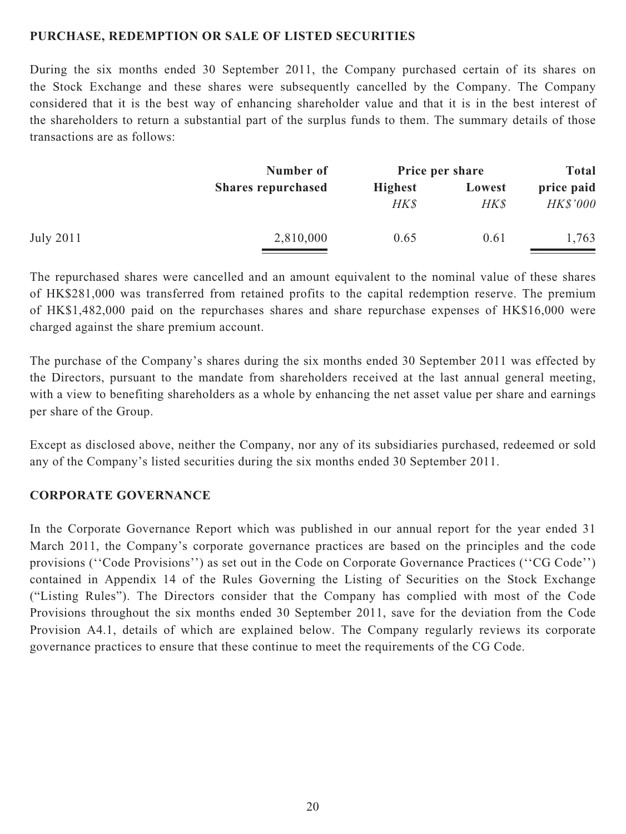#### **PURCHASE, REDEMPTION OR SALE OF LISTED SECURITIES**

During the six months ended 30 September 2011, the Company purchased certain of its shares on the Stock Exchange and these shares were subsequently cancelled by the Company. The Company considered that it is the best way of enhancing shareholder value and that it is in the best interest of the shareholders to return a substantial part of the surplus funds to them. The summary details of those transactions are as follows:

| Number of                 | Price per share |        | <b>Total</b>    |  |
|---------------------------|-----------------|--------|-----------------|--|
| <b>Shares repurchased</b> | <b>Highest</b>  | Lowest | price paid      |  |
|                           |                 |        | <b>HK\$'000</b> |  |
| 2,810,000                 | 0.65            | 0.61   | 1,763           |  |
|                           |                 | HK\$   | HK\$            |  |

The repurchased shares were cancelled and an amount equivalent to the nominal value of these shares of HK\$281,000 was transferred from retained profits to the capital redemption reserve. The premium of HK\$1,482,000 paid on the repurchases shares and share repurchase expenses of HK\$16,000 were charged against the share premium account.

The purchase of the Company's shares during the six months ended 30 September 2011 was effected by the Directors, pursuant to the mandate from shareholders received at the last annual general meeting, with a view to benefiting shareholders as a whole by enhancing the net asset value per share and earnings per share of the Group.

Except as disclosed above, neither the Company, nor any of its subsidiaries purchased, redeemed or sold any of the Company's listed securities during the six months ended 30 September 2011.

#### **CORPORATE GOVERNANCE**

In the Corporate Governance Report which was published in our annual report for the year ended 31 March 2011, the Company's corporate governance practices are based on the principles and the code provisions (''Code Provisions'') as set out in the Code on Corporate Governance Practices (''CG Code'') contained in Appendix 14 of the Rules Governing the Listing of Securities on the Stock Exchange ("Listing Rules"). The Directors consider that the Company has complied with most of the Code Provisions throughout the six months ended 30 September 2011, save for the deviation from the Code Provision A4.1, details of which are explained below. The Company regularly reviews its corporate governance practices to ensure that these continue to meet the requirements of the CG Code.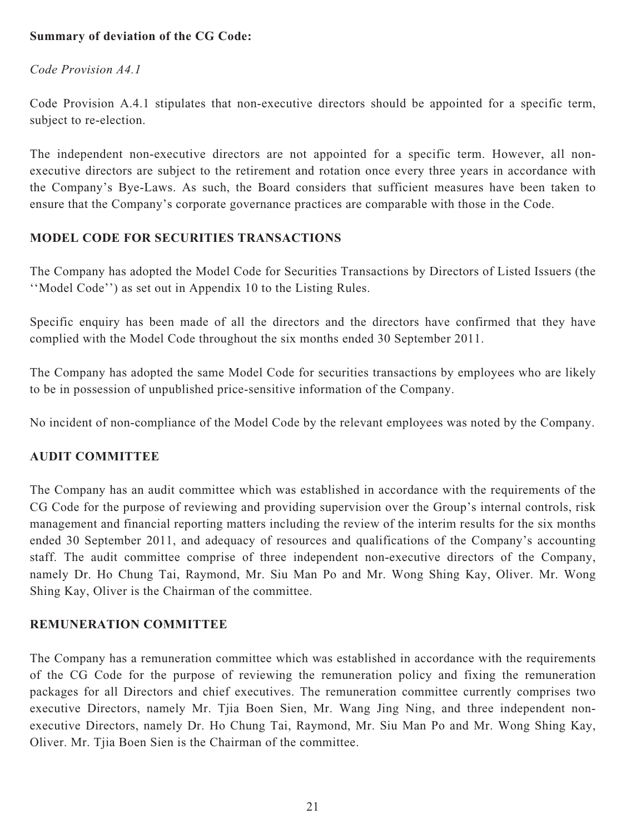## **Summary of deviation of the CG Code:**

*Code Provision A4.1*

Code Provision A.4.1 stipulates that non-executive directors should be appointed for a specific term, subject to re-election.

The independent non-executive directors are not appointed for a specific term. However, all nonexecutive directors are subject to the retirement and rotation once every three years in accordance with the Company's Bye-Laws. As such, the Board considers that sufficient measures have been taken to ensure that the Company's corporate governance practices are comparable with those in the Code.

## **MODEL CODE FOR SECURITIES TRANSACTIONS**

The Company has adopted the Model Code for Securities Transactions by Directors of Listed Issuers (the ''Model Code'') as set out in Appendix 10 to the Listing Rules.

Specific enquiry has been made of all the directors and the directors have confirmed that they have complied with the Model Code throughout the six months ended 30 September 2011.

The Company has adopted the same Model Code for securities transactions by employees who are likely to be in possession of unpublished price-sensitive information of the Company.

No incident of non-compliance of the Model Code by the relevant employees was noted by the Company.

## **AUDIT COMMITTEE**

The Company has an audit committee which was established in accordance with the requirements of the CG Code for the purpose of reviewing and providing supervision over the Group's internal controls, risk management and financial reporting matters including the review of the interim results for the six months ended 30 September 2011, and adequacy of resources and qualifications of the Company's accounting staff. The audit committee comprise of three independent non-executive directors of the Company, namely Dr. Ho Chung Tai, Raymond, Mr. Siu Man Po and Mr. Wong Shing Kay, Oliver. Mr. Wong Shing Kay, Oliver is the Chairman of the committee.

## **REMUNERATION COMMITTEE**

The Company has a remuneration committee which was established in accordance with the requirements of the CG Code for the purpose of reviewing the remuneration policy and fixing the remuneration packages for all Directors and chief executives. The remuneration committee currently comprises two executive Directors, namely Mr. Tjia Boen Sien, Mr. Wang Jing Ning, and three independent nonexecutive Directors, namely Dr. Ho Chung Tai, Raymond, Mr. Siu Man Po and Mr. Wong Shing Kay, Oliver. Mr. Tjia Boen Sien is the Chairman of the committee.